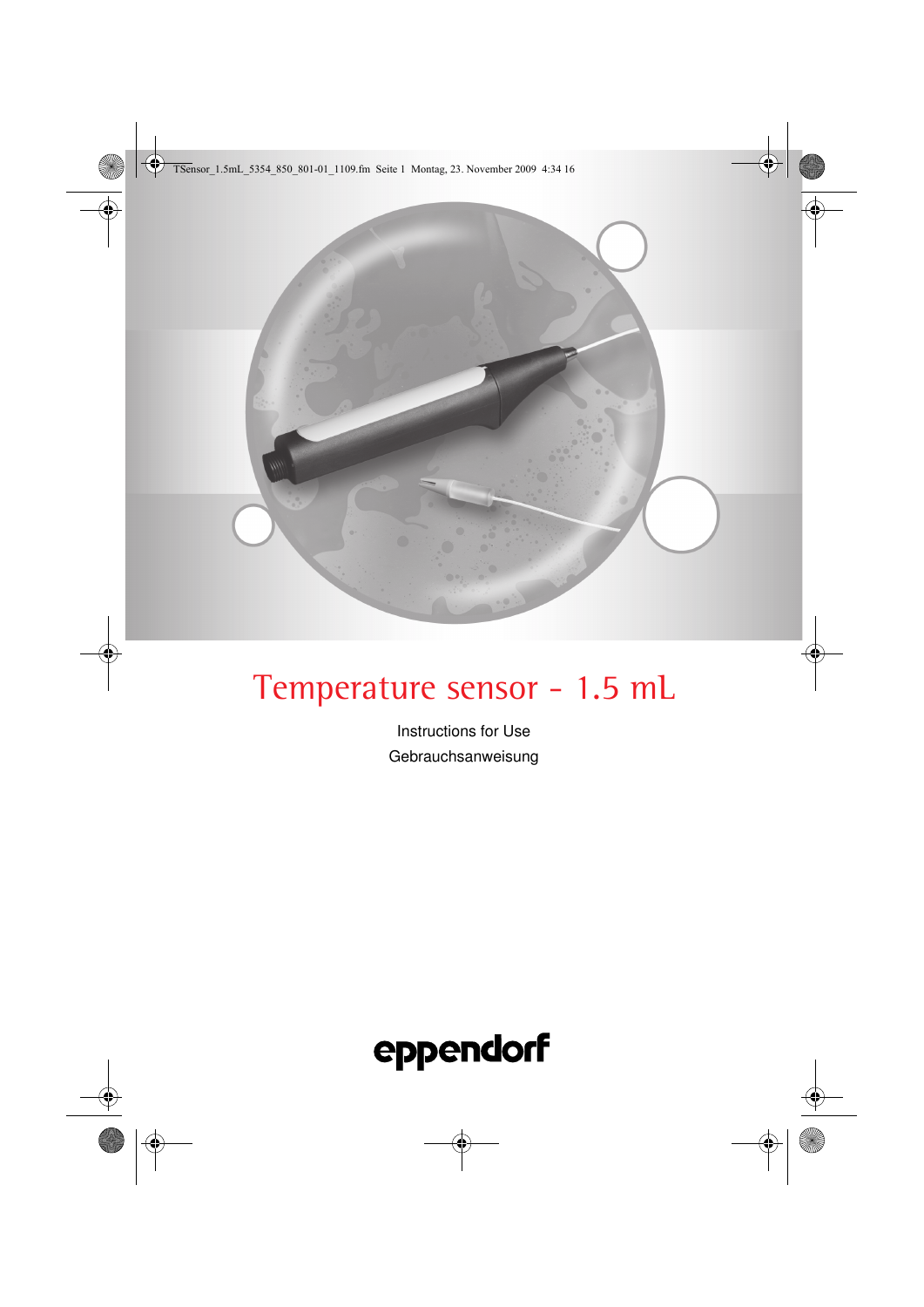TSensor\_1.5mL\_5354\_850\_801-01\_1109.fm Seite 1 Montag, 23. November 2009 4:34 16

# Temperature sensor - 1.5 mL

Instructions for Use Gebrauchsanweisung



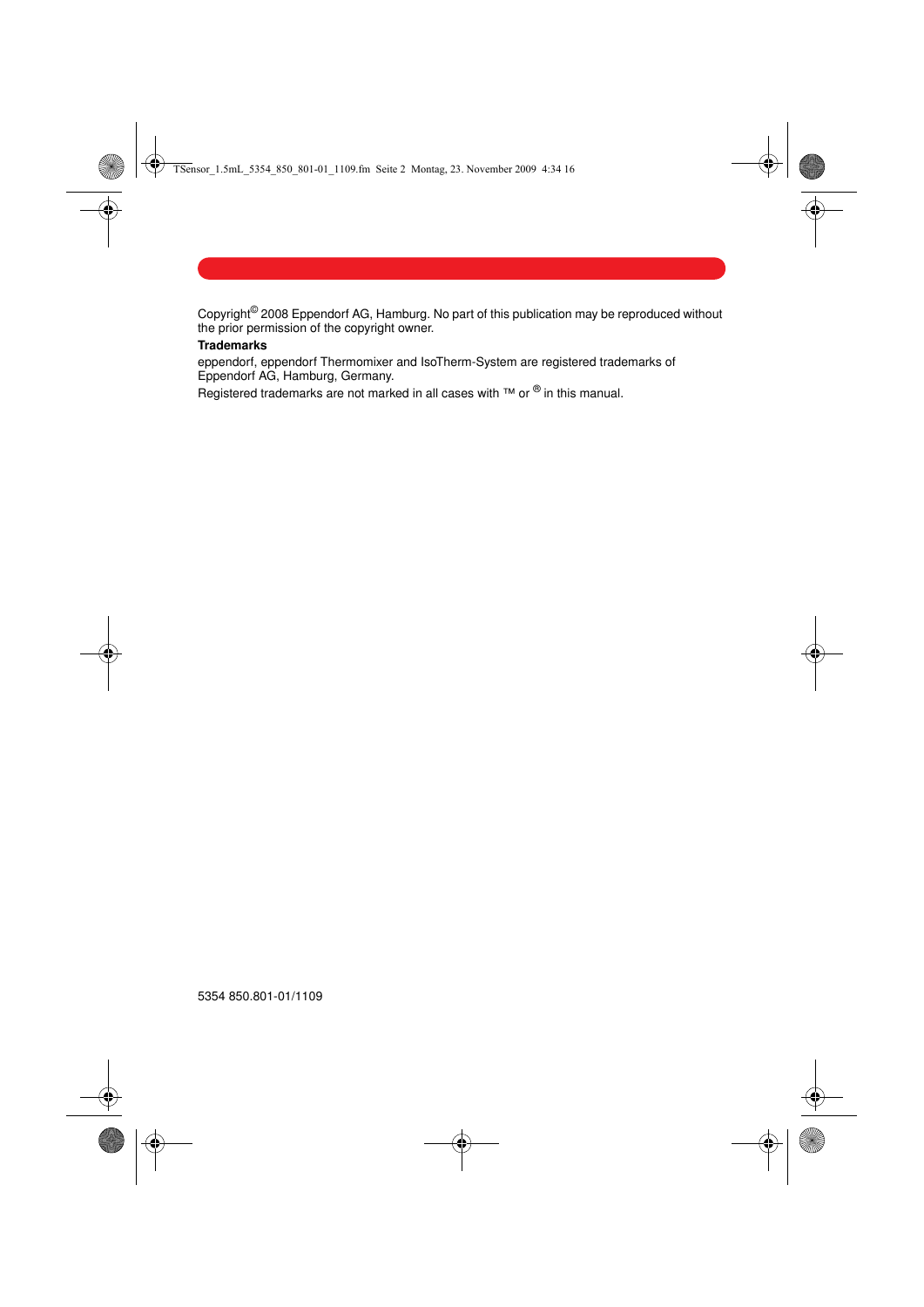TSensor\_1.5mL\_5354\_850\_801-01\_1109.fm Seite 2 Montag, 23. November 2009 4:34 16

Copyright<sup>©</sup> 2008 Eppendorf AG, Hamburg. No part of this publication may be reproduced without the prior permission of the copyright owner.

# **Trademarks**

eppendorf, eppendorf Thermomixer and IsoTherm-System are registered trademarks of Eppendorf AG, Hamburg, Germany.

 $E$  registered trademarks are not marked in all cases with ™ or ® in this manual.

5354 850.801-01/1109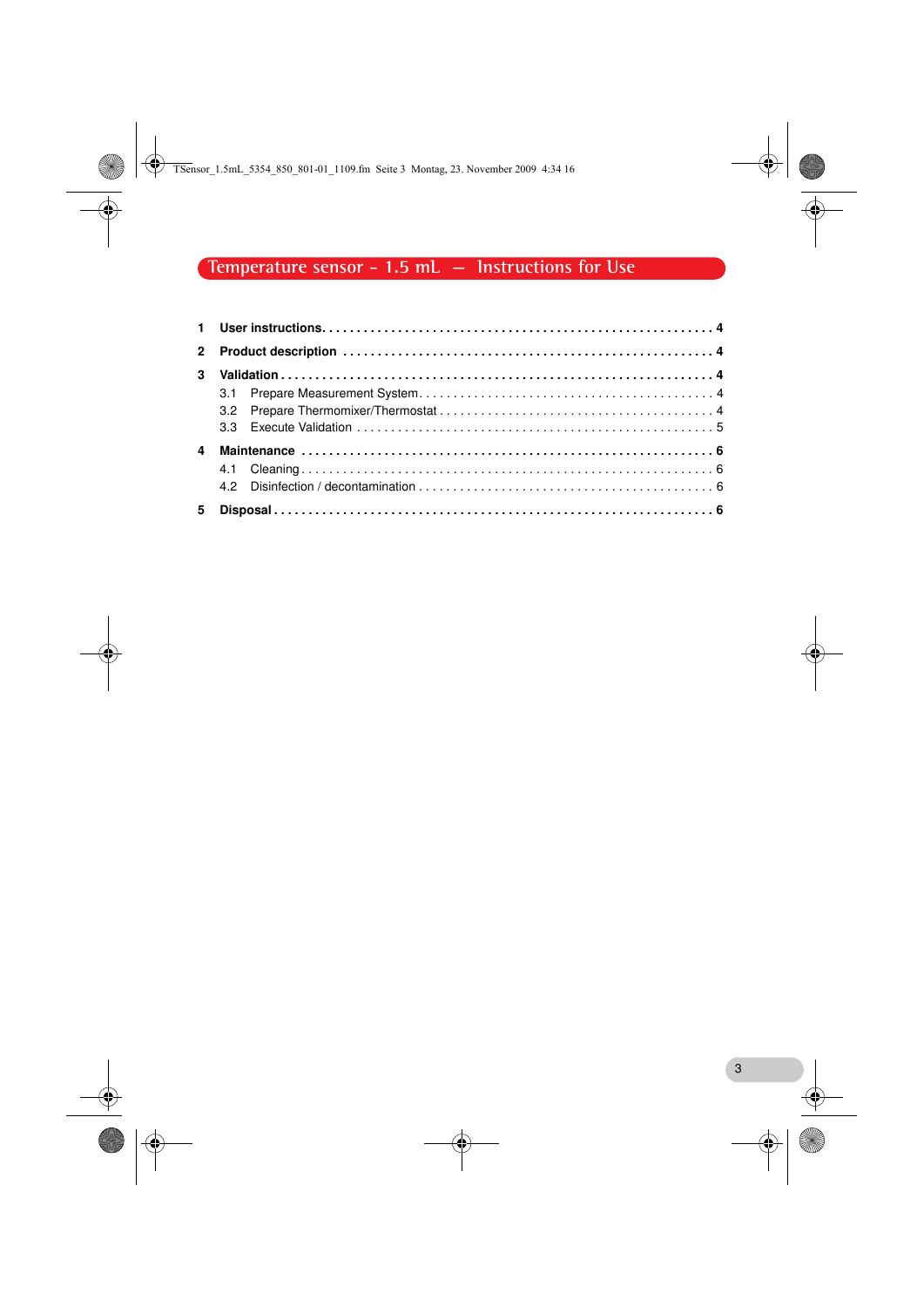TSensor\_1.5mL\_5354\_850\_801-01\_1109.fm Seite 3 Montag, 23. November 2009 4:34 16

# **Temperature sensor - 1.5 mL — Instructions for Use**

| $\overline{a}$ |  |  |  |
|----------------|--|--|--|
|                |  |  |  |
|                |  |  |  |
|                |  |  |  |

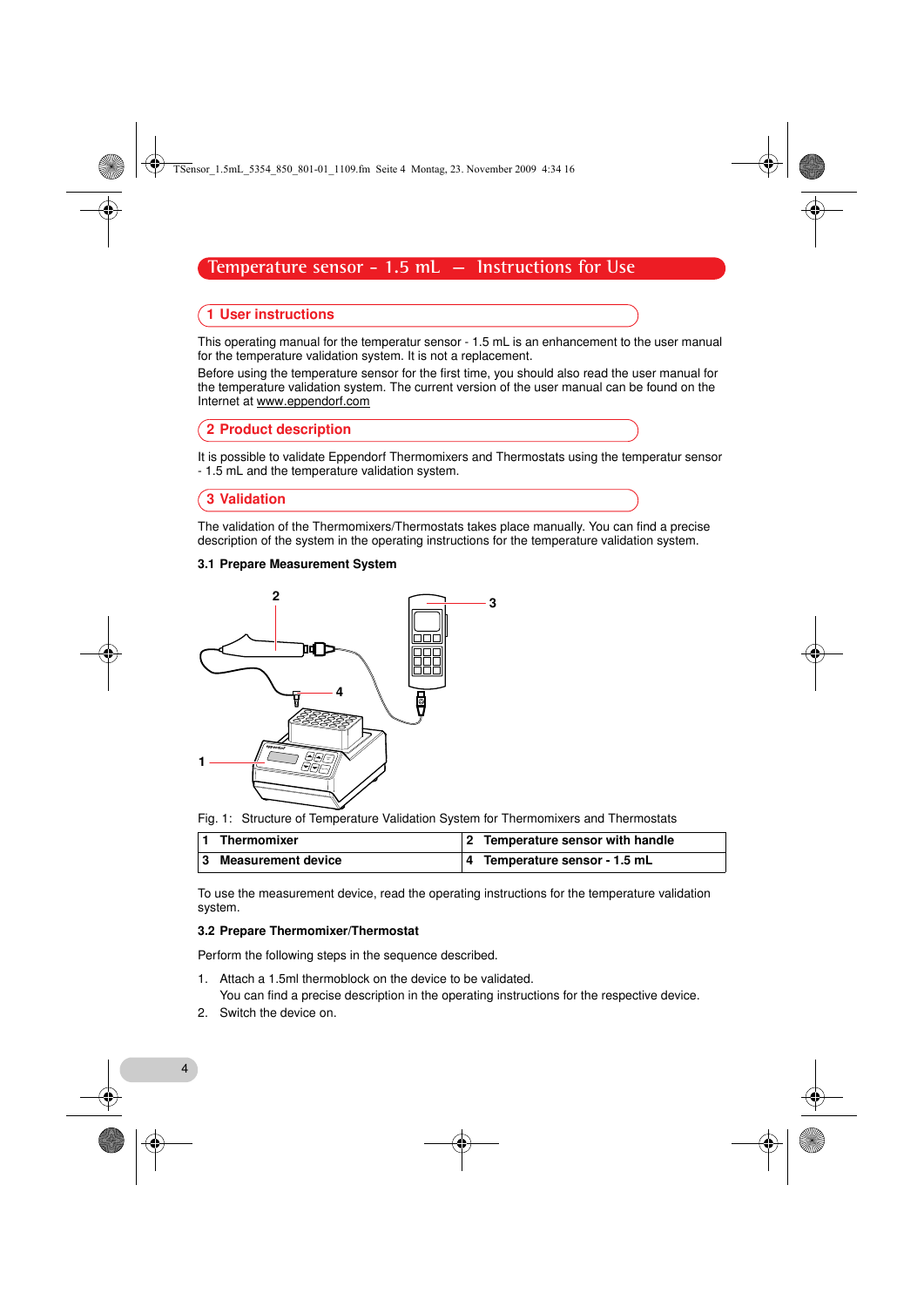TSensor\_1.5mL\_5354\_850\_801-01\_1109.fm Seite 4 Montag, 23. November 2009 4:34 16

# **Temperature sensor - 1.5 mL — Instructions for Use**

## <span id="page-3-0"></span>1 User instructions

This operating manual for the temperatur sensor - 1.5 mL is an enhancement to the user manual for the temperature validation system. It is not a replacement.

Before using the temperature sensor for the first time, you should also read the user manual for the temperature validation system. The current version of the user manual can be found on the Internet at www.eppendorf.com

#### <span id="page-3-1"></span>2 Product description

It is possible to validate Eppendorf Thermomixers and Thermostats using the temperatur sensor - 1.5 mL and the temperature validation system.

## <span id="page-3-2"></span>3 Validation

The validation of the Thermomixers/Thermostats takes place manually. You can find a precise description of the system in the operating instructions for the temperature validation system.

#### <span id="page-3-3"></span>3.1 Prepare Measurement System



Fig. 1: Structure of Temperature Validation System for Thermomixers and Thermostats

| Thermomixer          | 2 Temperature sensor with handle |
|----------------------|----------------------------------|
| 3 Measurement device | 4 Temperature sensor - 1.5 mL    |

To use the measurement device, read the operating instructions for the temperature validation system.

#### <span id="page-3-4"></span>3.2 Prepare Thermomixer/Thermostat

Perform the following steps in the sequence described.

- 1. Attach a 1.5ml thermoblock on the device to be validated. You can find a precise description in the operating instructions for the respective device.
- 2. Switch the device on.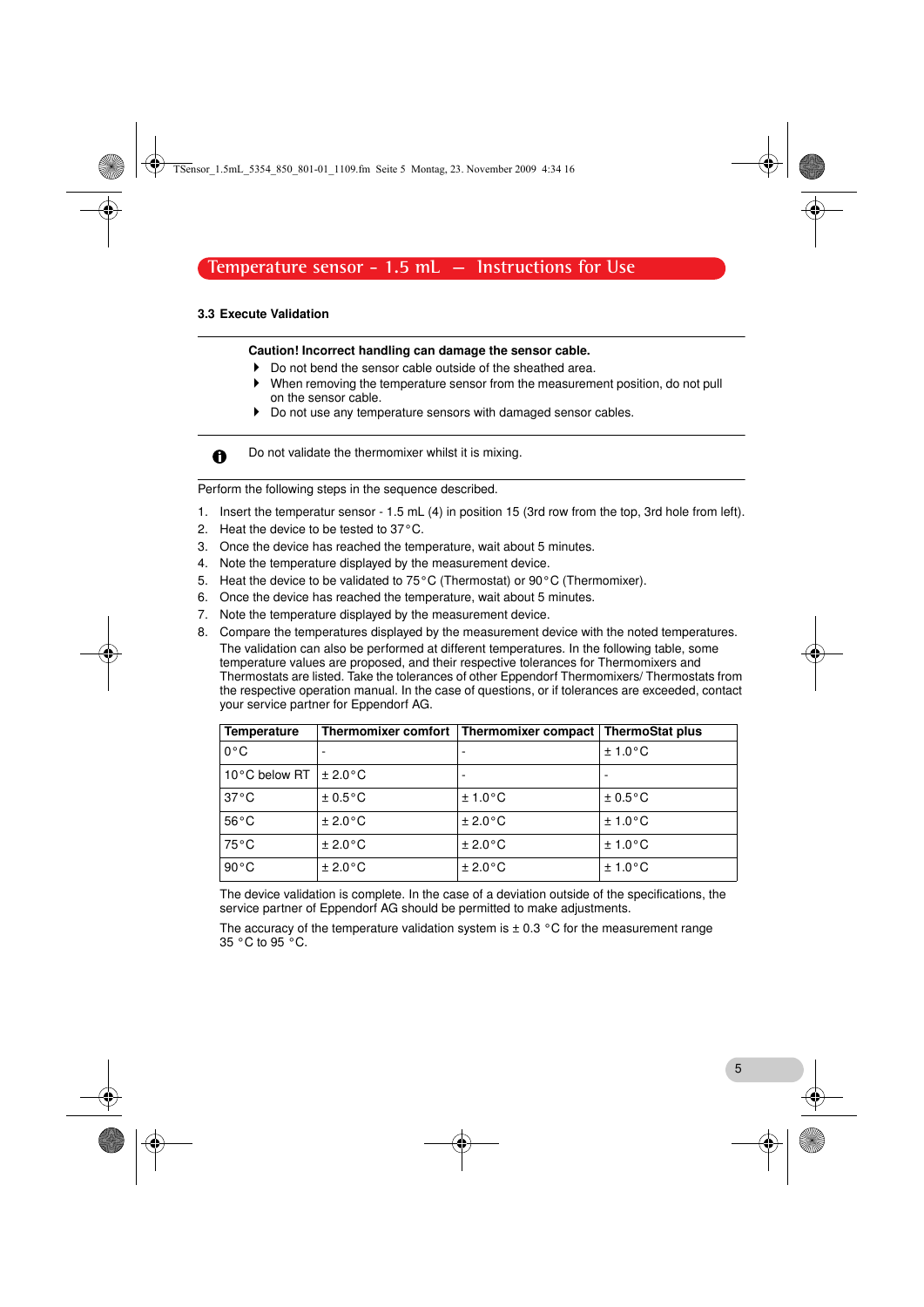TSensor\_1.5mL\_5354\_850\_801-01\_1109.fm Seite 5 Montag, 23. November 2009 4:34 16

# **Temperature sensor - 1.5 mL — Instructions for Use**

# <span id="page-4-0"></span>3.3 Execute Validation

#### Caution! Incorrect handling can damage the sensor cable.

- Do not bend the sensor cable outside of the sheathed area.
- When removing the temperature sensor from the measurement position, do not pull on the sensor cable.
- Do not use any temperature sensors with damaged sensor cables.

Do not validate the thermomixer whilst it is mixing.  $\mathbf{\Omega}$ 

Perform the following steps in the sequence described.

- 1. Insert the temperatur sensor 1.5 mL (4) in position 15 (3rd row from the top, 3rd hole from left).
- 2. Heat the device to be tested to 37°C.
- 3. Once the device has reached the temperature, wait about 5 minutes.
- 4. Note the temperature displayed by the measurement device.
- 5. Heat the device to be validated to 75°C (Thermostat) or 90°C (Thermomixer).
- 6. Once the device has reached the temperature, wait about 5 minutes.
- 7. Note the temperature displayed by the measurement device.
- The validation can also be performed at different temperatures. In the following table, some 8. Compare the temperatures displayed by the measurement device with the noted temperatures. temperature values are proposed, and their respective tolerances for Thermomixers and Thermostats are listed. Take the tolerances of other Eppendorf Thermomixers/ Thermostats from the respective operation manual. In the case of questions, or if tolerances are exceeded, contact your service partner for Eppendorf AG.

| <b>Temperature</b>         |          | Thermomixer comfort   Thermomixer compact | <b>ThermoStat plus</b> |  |
|----------------------------|----------|-------------------------------------------|------------------------|--|
| $0^{\circ}$ C              |          | ۰                                         | ± 1.0 °C               |  |
| 10°C below RT $\pm 2.0$ °C |          | -                                         |                        |  |
| $37^{\circ}$ C             | ± 0.5 °C | ± 1.0 °C                                  | ± 0.5 °C               |  |
| $56^{\circ}$ C             | ± 2.0 °C | ± 2.0 °C                                  | ± 1.0 °C               |  |
| $75^{\circ}$ C             | ± 2.0 °C | ± 2.0 °C                                  | ± 1.0 °C               |  |
| $90^{\circ}$ C             | ± 2.0 °C | ± 2.0 °C                                  | ± 1.0 °C               |  |

The device validation is complete. In the case of a deviation outside of the specifications, the service partner of Eppendorf AG should be permitted to make adjustments.

The accuracy of the temperature validation system is  $\pm$  0.3 °C for the measurement range 35 °C to 95 °C.

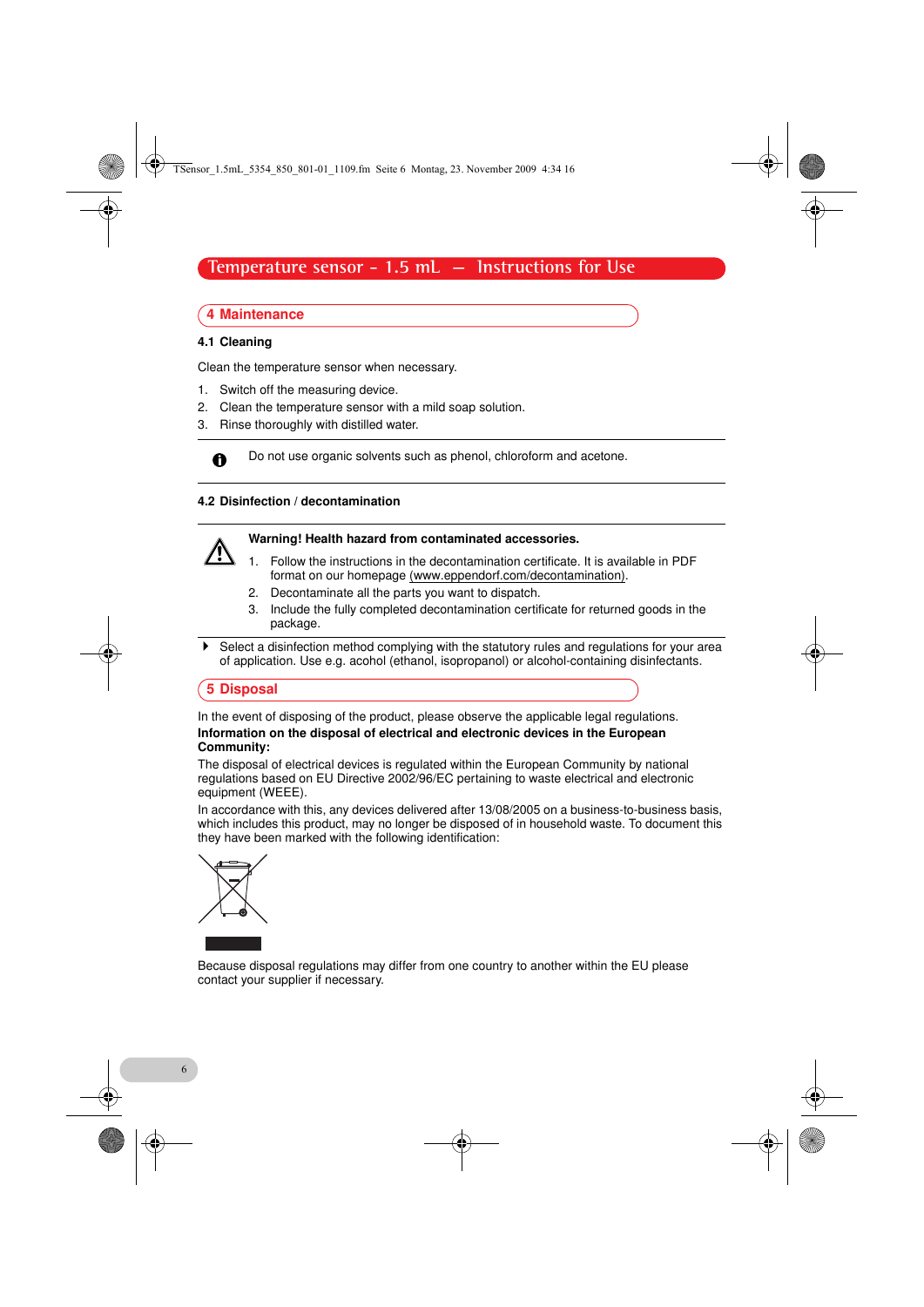TSensor\_1.5mL\_5354\_850\_801-01\_1109.fm Seite 6 Montag, 23. November 2009 4:34 16

# **Temperature sensor - 1.5 mL — Instructions for Use**

# <span id="page-5-0"></span>4 Maintenance

#### <span id="page-5-1"></span>4.1 Cleaning

Clean the temperature sensor when necessary.

- 1. Switch off the measuring device.
- 2. Clean the temperature sensor with a mild soap solution.
- 3. Rinse thoroughly with distilled water.



 $\mathbf \Theta$ 

Do not use organic solvents such as phenol, chloroform and acetone.

#### <span id="page-5-2"></span>4.2 Disinfection / decontamination

# Warning! Health hazard from contaminated accessories.

1. Follow the instructions in the decontamination certificate. It is available in PDF

- format on our homepage (www.eppendorf.com/decontamination).
- 2. Decontaminate all the parts you want to dispatch.
- 3. Include the fully completed decontamination certificate for returned goods in the package.
- Select a disinfection method complying with the statutory rules and regulations for your area of application. Use e.g. acohol (ethanol, isopropanol) or alcohol-containing disinfectants.

#### <span id="page-5-3"></span>5 Disposal

In the event of disposing of the product, please observe the applicable legal regulations. Information on the disposal of electrical and electronic devices in the European Community:

The disposal of electrical devices is regulated within the European Community by national regulations based on EU Directive 2002/96/EC pertaining to waste electrical and electronic equipment (WEEE).

In accordance with this, any devices delivered after 13/08/2005 on a business-to-business basis, which includes this product, may no longer be disposed of in household waste. To document this they have been marked with the following identification:



Because disposal regulations may differ from one country to another within the EU please contact your supplier if necessary.

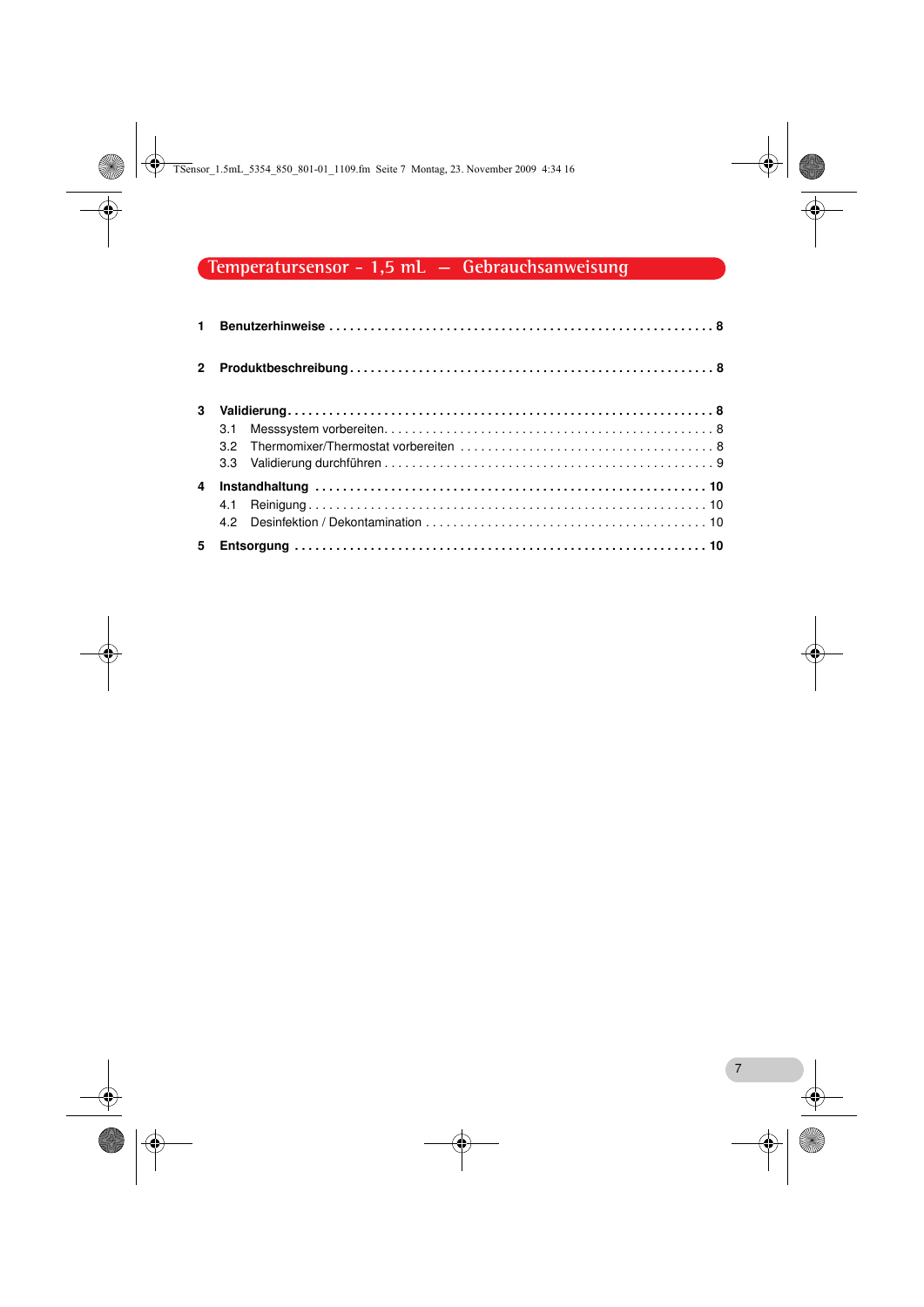TSensor\_1.5mL\_5354\_850\_801-01\_1109.fm Seite 7 Montag, 23. November 2009 4:34 16

# **Temperatursensor - 1,5 mL — Gebrauchsanweisung**

| $\mathbf{2}$ |     |  |
|--------------|-----|--|
| 3            | 3.1 |  |
| 4            | 4.2 |  |
| 5.           |     |  |

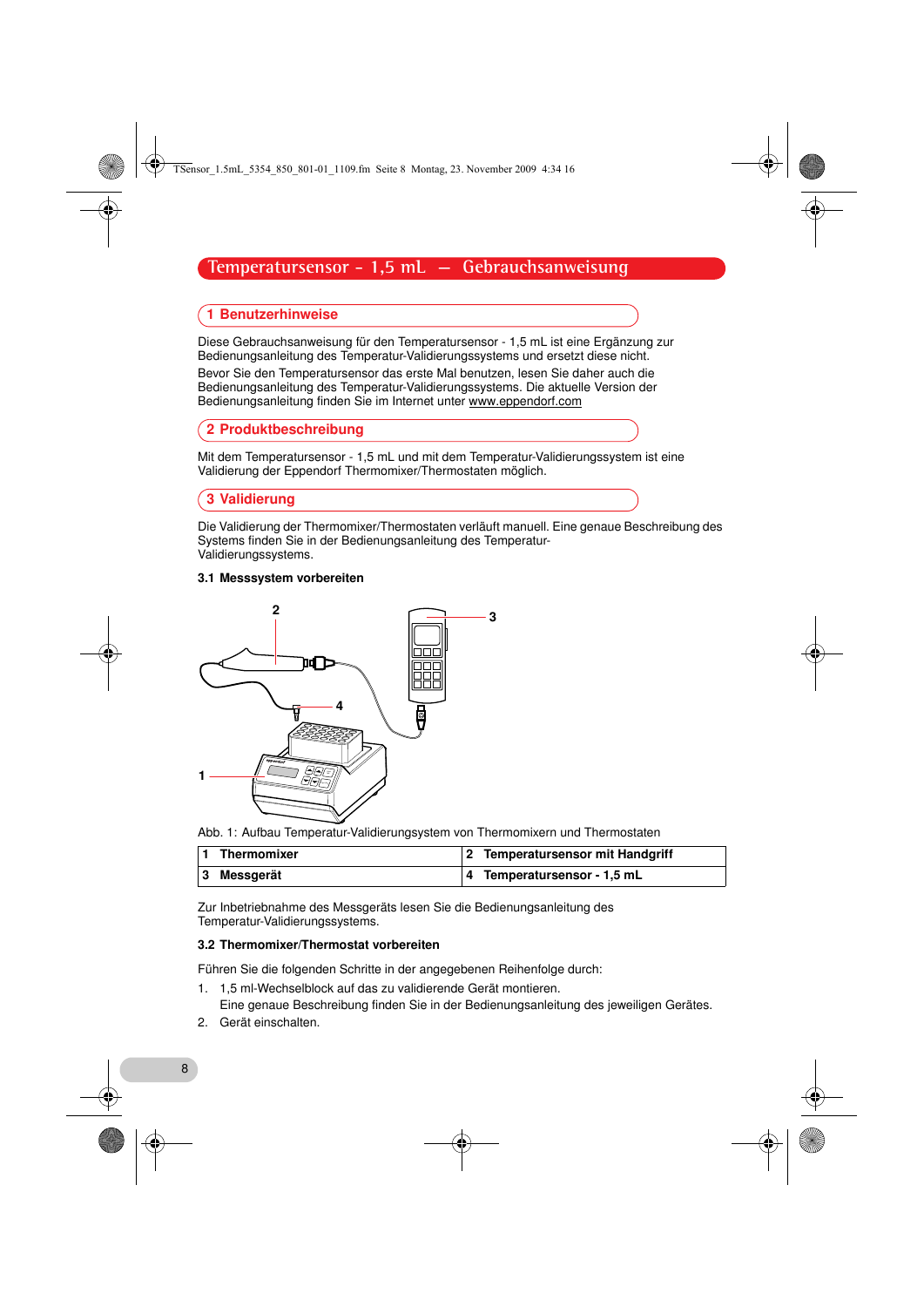TSensor\_1.5mL\_5354\_850\_801-01\_1109.fm Seite 8 Montag, 23. November 2009 4:34 16

# **Temperatursensor - 1,5 mL — Gebrauchsanweisung**

### <span id="page-7-0"></span>1 Benutzerhinweise

Diese Gebrauchsanweisung für den Temperatursensor - 1,5 mL ist eine Ergänzung zur Bedienungsanleitung des Temperatur-Validierungssystems und ersetzt diese nicht. Bevor Sie den Temperatursensor das erste Mal benutzen, lesen Sie daher auch die Bedienungsanleitung des Temperatur-Validierungssystems. Die aktuelle Version der Bedienungsanleitung finden Sie im Internet unter www.eppendorf.com

#### <span id="page-7-1"></span>2 Produktbeschreibung

Mit dem Temperatursensor - 1,5 mL und mit dem Temperatur-Validierungssystem ist eine Validierung der Eppendorf Thermomixer/Thermostaten möglich.

#### <span id="page-7-2"></span>3 Validierung

Die Validierung der Thermomixer/Thermostaten verläuft manuell. Eine genaue Beschreibung des Systems finden Sie in der Bedienungsanleitung des Temperatur-Validierungssystems.

#### <span id="page-7-3"></span>3.1 Messsystem vorbereiten



Abb. 1: Aufbau Temperatur-Validierungsystem von Thermomixern und Thermostaten

| 1 Thermomixer | 2 Temperatursensor mit Handgriff |
|---------------|----------------------------------|
| 3 Messgerät   | 4 Temperatursensor - 1,5 mL      |

Zur Inbetriebnahme des Messgeräts lesen Sie die Bedienungsanleitung des Temperatur-Validierungssystems.

#### <span id="page-7-4"></span>3.2 Thermomixer/Thermostat vorbereiten

Führen Sie die folgenden Schritte in der angegebenen Reihenfolge durch:

- 1. 1,5 ml-Wechselblock auf das zu validierende Gerät montieren.
- Eine genaue Beschreibung finden Sie in der Bedienungsanleitung des jeweiligen Gerätes.
- 2. Gerät einschalten.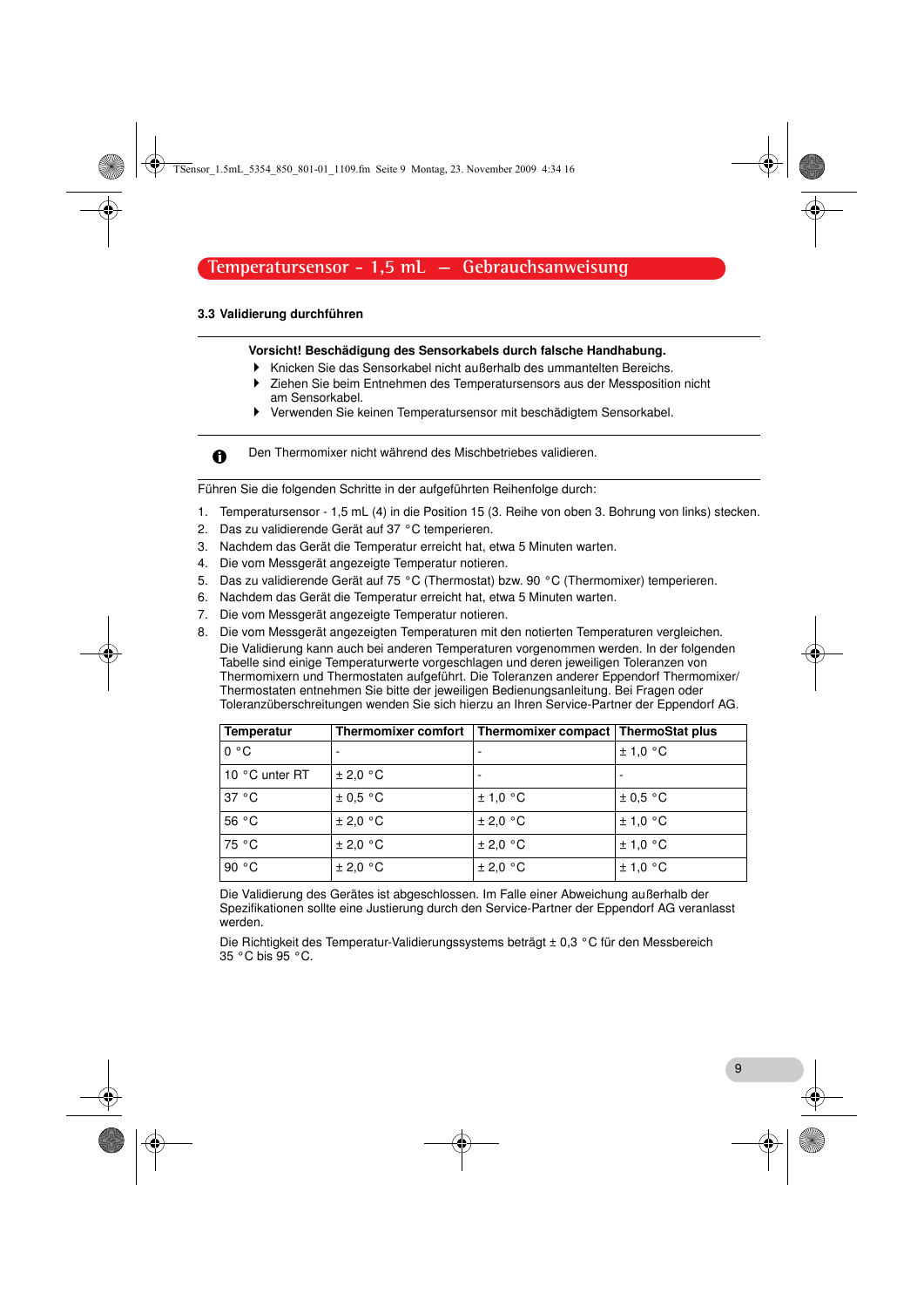TSensor\_1.5mL\_5354\_850\_801-01\_1109.fm Seite 9 Montag, 23. November 2009 4:34 16

# **Temperatursensor - 1,5 mL — Gebrauchsanweisung**

# <span id="page-8-0"></span>3.3 Validierung durchführen

 $\mathbf{\Omega}$ 

#### Vorsicht! Beschädigung des Sensorkabels durch falsche Handhabung.

- Knicken Sie das Sensorkabel nicht außerhalb des ummantelten Bereichs. Ziehen Sie beim Entnehmen des Temperatursensors aus der Messposition nicht
	- am Sensorkabel.
- Verwenden Sie keinen Temperatursensor mit beschädigtem Sensorkabel.

Den Thermomixer nicht während des Mischbetriebes validieren.

Führen Sie die folgenden Schritte in der aufgeführten Reihenfolge durch:

- 1. Temperatursensor 1,5 mL (4) in die Position 15 (3. Reihe von oben 3. Bohrung von links) stecken.
- 2. Das zu validierende Gerät auf 37 °C temperieren.
- 3. Nachdem das Gerät die Temperatur erreicht hat, etwa 5 Minuten warten.
- 4. Die vom Messgerät angezeigte Temperatur notieren.
- 5. Das zu validierende Gerät auf 75 °C (Thermostat) bzw. 90 °C (Thermomixer) temperieren.
- 6. Nachdem das Gerät die Temperatur erreicht hat, etwa 5 Minuten warten.
- 7. Die vom Messgerät angezeigte Temperatur notieren.
- Entwurf Die Validierung kann auch bei anderen Temperaturen vorgenommen werden. In der folgenden 8. Die vom Messgerät angezeigten Temperaturen mit den notierten Temperaturen vergleichen. Tabelle sind einige Temperaturwerte vorgeschlagen und deren jeweiligen Toleranzen von Thermomixern und Thermostaten aufgeführt. Die Toleranzen anderer Eppendorf Thermomixer/ Thermostaten entnehmen Sie bitte der jeweiligen Bedienungsanleitung. Bei Fragen oder Toleranzüberschreitungen wenden Sie sich hierzu an Ihren Service-Partner der Eppendorf AG.

| <b>Temperatur</b> | Thermomixer comfort | Thermomixer compact   ThermoStat plus |              |
|-------------------|---------------------|---------------------------------------|--------------|
| 0 °C              | ۰                   |                                       | ± 1,0 °C     |
| 10 °C unter RT    | ± 2.0 °C            |                                       |              |
| 37 °C             | $\pm$ 0.5 °C        | ± 1,0 °C                              | $\pm$ 0.5 °C |
| 56 °C             | ± 2.0 °C            | ± 2.0 °C                              | ± 1.0 °C     |
| 75 °C             | ± 2.0 °C            | ± 2.0 °C                              | ± 1.0 °C     |
| 90 °C             | ± 2,0 °C            | ± 2.0 °C                              | ± 1,0 °C     |

Die Validierung des Gerätes ist abgeschlossen. Im Falle einer Abweichung außerhalb der Spezifikationen sollte eine Justierung durch den Service-Partner der Eppendorf AG veranlasst werden.

Die Richtigkeit des Temperatur-Validierungssystems beträgt ± 0,3 °C für den Messbereich 35 °C bis 95 °C.

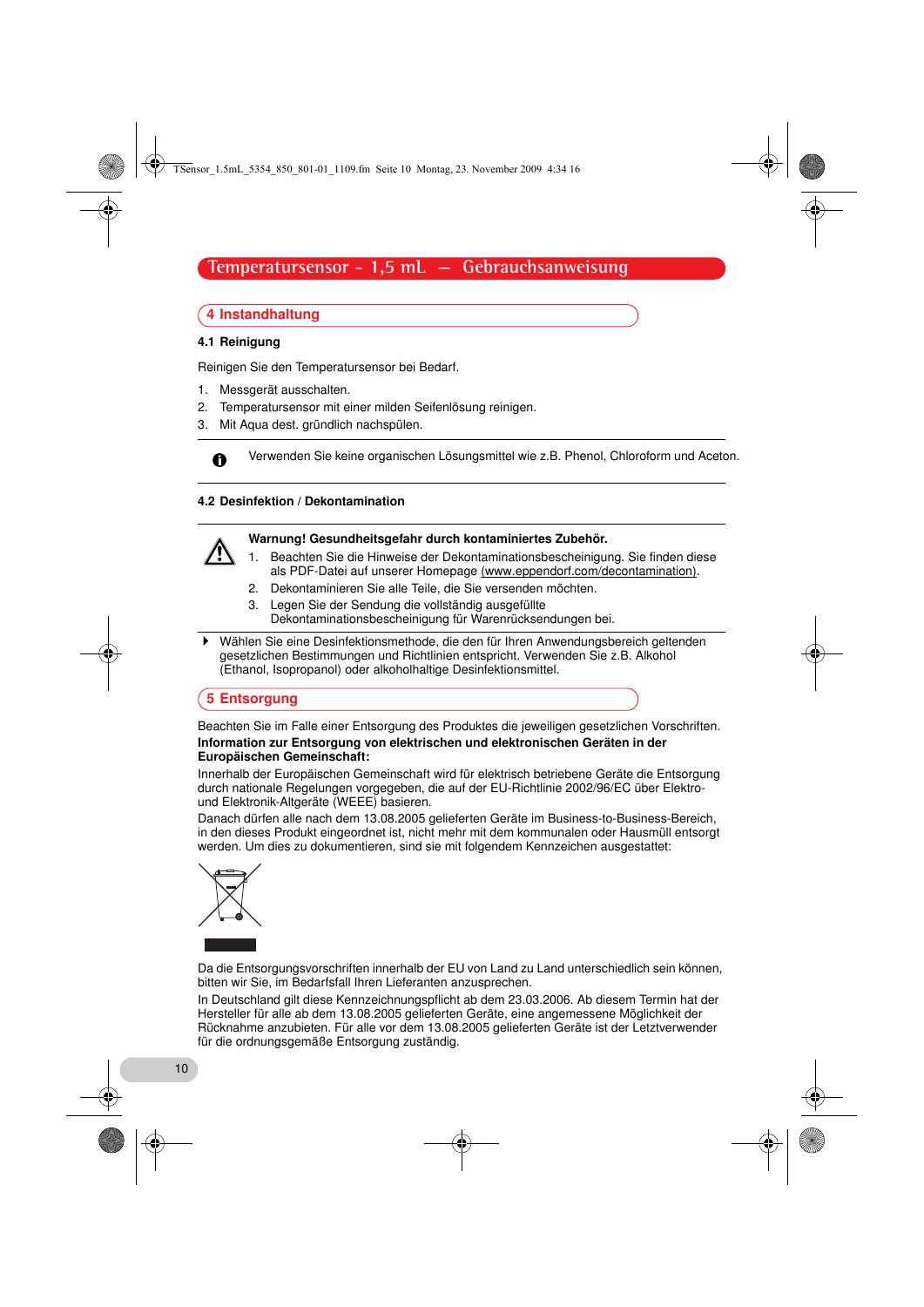TSensor\_1.5mL\_5354\_850\_801-01\_1109.fm Seite 10 Montag, 23. November 2009 4:34 16

# **Temperatursensor - 1,5 mL — Gebrauchsanweisung**

# <span id="page-9-0"></span>4 Instandhaltung

#### <span id="page-9-1"></span>4.1 Reinigung

 $\mathbf \Theta$ 

Reinigen Sie den Temperatursensor bei Bedarf.

- 1. Messgerät ausschalten.
- 2. Temperatursensor mit einer milden Seifenlösung reinigen.
- 3. Mit Aqua dest. gründlich nachspülen.

Verwenden Sie keine organischen Lösungsmittel wie z.B. Phenol, Chloroform und Aceton.

#### <span id="page-9-2"></span>4.2 Desinfektion / Dekontamination

#### Warnung! Gesundheitsgefahr durch kontaminiertes Zubehör.

- 1. Beachten Sie die Hinweise der Dekontaminationsbescheinigung. Sie finden diese als PDF-Datei auf unserer Homepage (www.eppendorf.com/decontamination).
- 2. Dekontaminieren Sie alle Teile, die Sie versenden möchten.
- 3. Legen Sie der Sendung die vollständig ausgefüllte Dekontaminationsbescheinigung für Warenrücksendungen bei.
- $\blacktriangleright$  Wählen Sie eine Desinfektionsmethode, die den für Ihren Anwendungsbereich geltenden gesetzlichen Bestimmungen und Richtlinien entspricht. Verwenden Sie z.B. Alkohol (Ethanol, Isopropanol) oder alkoholhaltige Desinfektionsmittel.

#### <span id="page-9-3"></span>5 Entsorgung

#### Beachten Sie im Falle einer Entsorgung des Produktes die jeweiligen gesetzlichen Vorschriften. Information zur Entsorgung von elektrischen und elektronischen Geräten in der Europäischen Gemeinschaft:

Innerhalb der Europäischen Gemeinschaft wird für elektrisch betriebene Geräte die Entsorgung durch nationale Regelungen vorgegeben, die auf der EU-Richtlinie 2002/96/EC über Elektround Elektronik-Altgeräte (WEEE) basieren.

Danach dürfen alle nach dem 13.08.2005 gelieferten Geräte im Business-to-Business-Bereich, in den dieses Produkt eingeordnet ist, nicht mehr mit dem kommunalen oder Hausmüll entsorgt werden. Um dies zu dokumentieren, sind sie mit folgendem Kennzeichen ausgestattet:



10

Da die Entsorgungsvorschriften innerhalb der EU von Land zu Land unterschiedlich sein können, bitten wir Sie, im Bedarfsfall Ihren Lieferanten anzusprechen.

In Deutschland gilt diese Kennzeichnungspflicht ab dem 23.03.2006. Ab diesem Termin hat der Hersteller für alle ab dem 13.08.2005 gelieferten Geräte, eine angemessene Möglichkeit der Rücknahme anzubieten. Für alle vor dem 13.08.2005 gelieferten Geräte ist der Letztverwender für die ordnungsgemäße Entsorgung zuständig.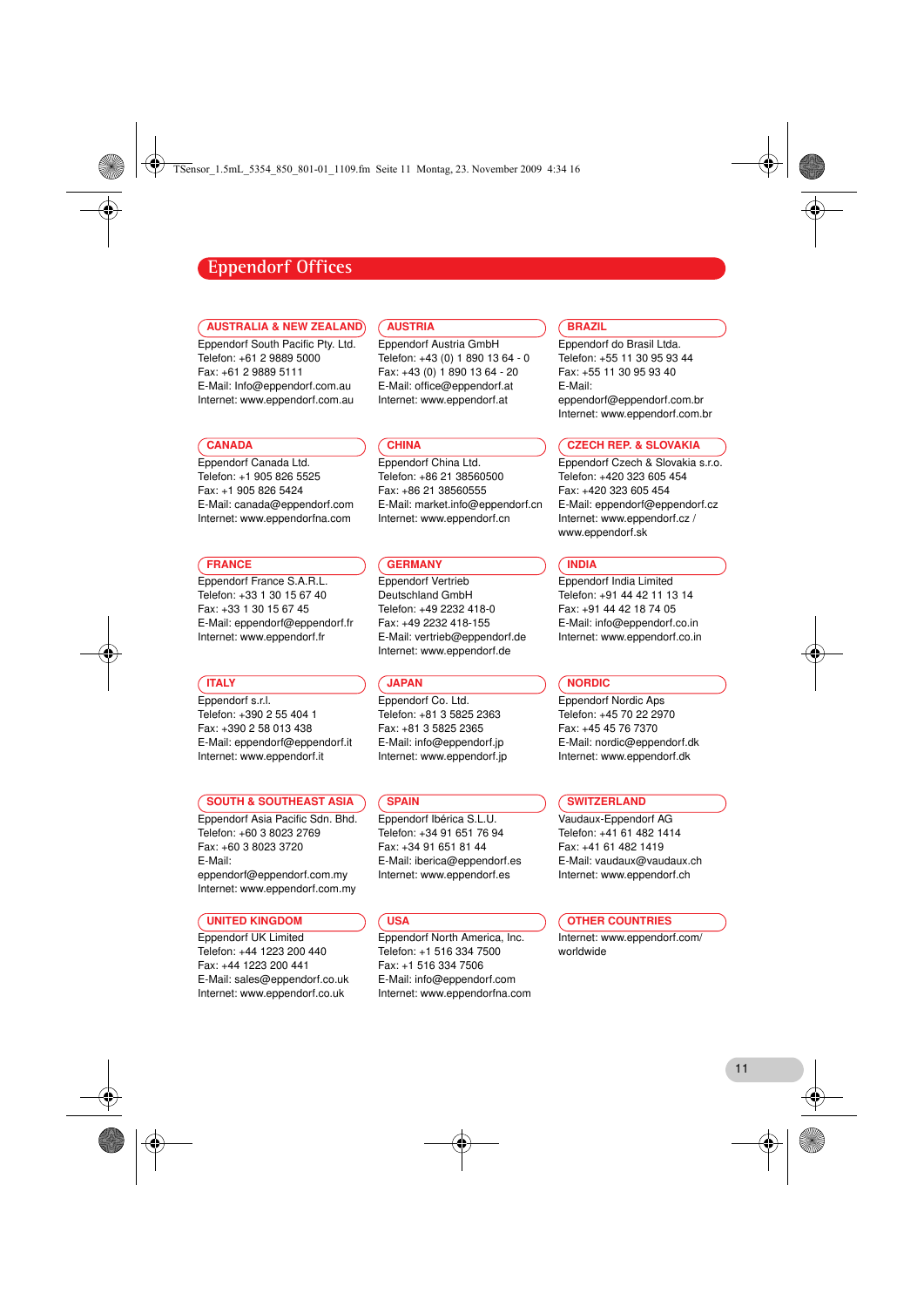TSensor\_1.5mL\_5354\_850\_801-01\_1109.fm Seite 11 Montag, 23. November 2009 4:34 16

# **Eppendorf Offices**

#### AUSTRALIA & NEW ZEALAND

Eppendorf South Pacific Pty. Ltd. Telefon: +61 2 9889 5000 Fax: +61 2 9889 5111 E-Mail: Info@eppendorf.com.au Internet: www.eppendorf.com.au

#### **CANADA**

Eppendorf Canada Ltd. Telefon: +1 905 826 5525 Fax: +1 905 826 5424 E-Mail: canada@eppendorf.com Internet: www.eppendorfna.com

#### **FRANCE**

Eppendorf France S.A.R.L. Telefon: +33 1 30 15 67 40 Fax: +33 1 30 15 67 45 E-Mail: eppendorf@eppendorf.fr Internet: www.eppendorf.fr

#### **TTALY**

Eppendorf s.r.l. Telefon: +390 2 55 404 1 Fax: +390 2 58 013 438 E-Mail: eppendorf@eppendorf.it Internet: www.eppendorf.it

#### SOUTH & SOUTHEAST ASIA

Eppendorf Asia Pacific Sdn. Bhd. Telefon: +60 3 8023 2769 Fax: +60 3 8023 3720 E-Mail: eppendorf@eppendorf.com.my Internet: www.eppendorf.com.my

#### UNITED KINGDOM

Eppendorf UK Limited Telefon: +44 1223 200 440 Fax: +44 1223 200 441 E-Mail: sales@eppendorf.co.uk Internet: www.eppendorf.co.uk

#### AUSTRIA

Eppendorf Austria GmbH Telefon: +43 (0) 1 890 13 64 - 0 Fax: +43 (0) 1 890 13 64 - 20 E-Mail: office@eppendorf.at Internet: www.eppendorf.at

## **CHINA**

Eppendorf China Ltd. Telefon: +86 21 38560500 Fax: +86 21 38560555 E-Mail: market.info@eppendorf.cn Internet: www.eppendorf.cn

#### **GERMANY**

Eppendorf Vertrieb Deutschland GmbH Telefon: +49 2232 418-0 Fax: +49 2232 418-155 E-Mail: vertrieb@eppendorf.de Internet: www.eppendorf.de

#### **JAPAN**

Eppendorf Co. Ltd. Telefon: +81 3 5825 2363 Fax: +81 3 5825 2365 E-Mail: info@eppendorf.jp Internet: www.eppendorf.jp

#### **SPAIN**

Eppendorf Ibérica S.L.U. Telefon: +34 91 651 76 94 Fax: +34 91 651 81 44 E-Mail: iberica@eppendorf.es Internet: www.eppendorf.es

#### **USA**

Eppendorf North America, Inc. Telefon: +1 516 334 7500 Fax: +1 516 334 7506 E-Mail: info@eppendorf.com Internet: www.eppendorfna.com

# **BRAZIL**

Eppendorf do Brasil Ltda. Telefon: +55 11 30 95 93 44 Fax: +55 11 30 95 93 40 E-Mail: eppendorf@eppendorf.com.br Internet: www.eppendorf.com.br

#### CZECH REP. & SLOVAKIA

Eppendorf Czech & Slovakia s.r.o. Telefon: +420 323 605 454 Fax: +420 323 605 454 E-Mail: eppendorf@eppendorf.cz Internet: www.eppendorf.cz / www.eppendorf.sk

#### INDIA

Eppendorf India Limited Telefon: +91 44 42 11 13 14 Fax: +91 44 42 18 74 05 E-Mail: info@eppendorf.co.in Internet: www.eppendorf.co.in

#### NORDIC

Eppendorf Nordic Aps Telefon: +45 70 22 2970 Fax: +45 45 76 7370 E-Mail: nordic@eppendorf.dk Internet: www.eppendorf.dk

#### **SWITZERLAND**

Vaudaux-Eppendorf AG Telefon: +41 61 482 1414 Fax: +41 61 482 1419 E-Mail: vaudaux@vaudaux.ch Internet: www.eppendorf.ch

#### OTHER COUNTRIES

Internet: www.eppendorf.com/ worldwide